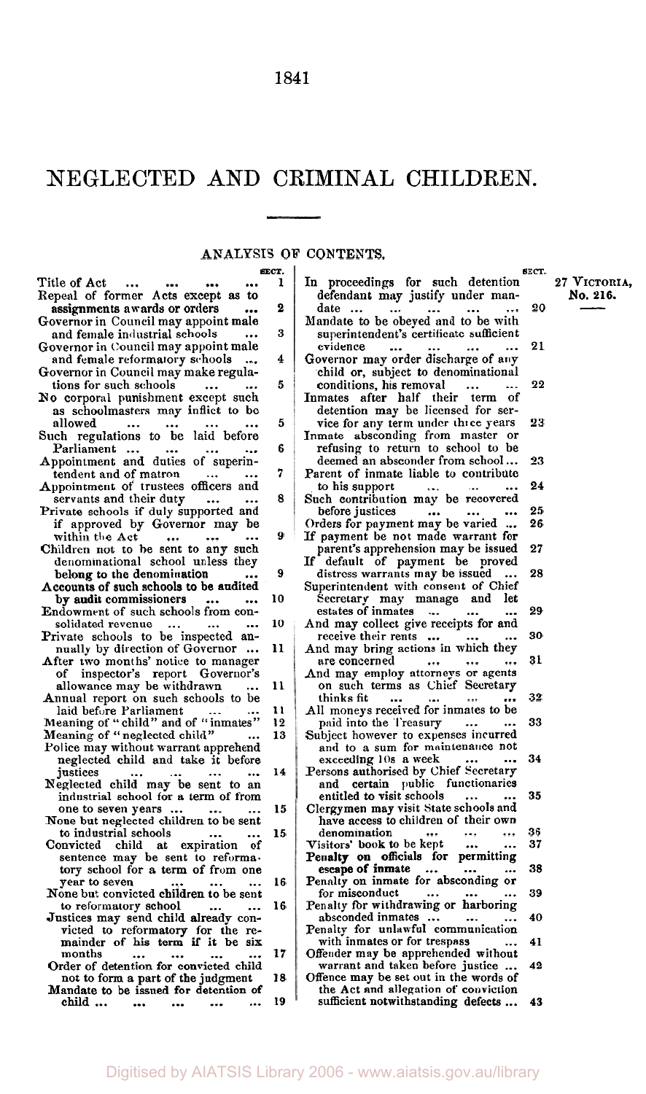# NEGLECTED AND CRIMINAL CHILDREN.

J.

# ANALYSIS OF CONTENTS.

|                                                     |       | ANALYSIS OF CONTENTS.                                                         |          |              |
|-----------------------------------------------------|-------|-------------------------------------------------------------------------------|----------|--------------|
|                                                     | SECT. |                                                                               | SECT.    |              |
| Title of Act<br>$\cdots$<br>                        | 1     | In proceedings for such detention                                             |          | 27 VICTORIA. |
| Repeal of former Acts except as to                  |       | defendant may justify under man-                                              |          | No. 216.     |
| assignments awards or orders                        | 2     | date<br><br>                                                                  | 20       |              |
| Governor in Council may appoint male                |       | Mandate to be obeyed and to be with                                           |          |              |
| and female industrial schools                       | 3     | superintendent's certificate sufficient                                       |          |              |
| Governor in Council may appoint male                |       | evidence                                                                      | 21       |              |
| and female reformatory schools                      | 4     | Governor may order discharge of any                                           |          |              |
| Governor in Council may make regula-                |       | child or, subject to denominational                                           |          |              |
| tions for such schools                              | 5     | conditions, his removal<br>                                                   | 22       |              |
| No corporal punishment except such                  |       | Inmates after half their term of                                              |          |              |
| as schoolmasters may inflict to be                  |       | detention may be licensed for ser-                                            |          |              |
| allowed<br>                                         | 5     | vice for any term under three years                                           | 23       |              |
| Such regulations to be laid before                  |       | Inmate absconding from master or                                              |          |              |
| Parliament<br>$\sim$ 100 $\pm$<br>$\cdots$<br>      | 6     | refusing to return to school to be                                            |          |              |
| Appointment and duties of superin-                  |       | deemed an absconder from school                                               | 23       |              |
| tendent and of matron<br>$\cdots$                   | 7     | Parent of inmate liable to contribute                                         |          |              |
| Appointment of trustees officers and                |       | to his support<br>$\ddotsc$<br>$\cdots$<br>$\cdots$                           | 24       |              |
| servants and their duty<br>$\cdots$                 | 8     | Such contribution may be recovered                                            |          |              |
| Private schools if duly supported and               |       | before justices<br>$\cdots$<br>$\cdots$<br>$\cdots$                           | 25       |              |
| if approved by Governor may be                      |       | Orders for payment may be varied                                              | 26       |              |
| within the Act<br>$\cdots$                          | 9     | If payment be not made warrant for                                            |          |              |
| $\cdots$<br>Children not to be sent to any such     |       | parent's apprehension may be issued                                           | 27       |              |
| denominational school unless they                   |       | If default of payment be proved                                               |          |              |
| belong to the denomination                          | 9     | distress warrants may be issued                                               | 28       |              |
| Accounts of such schools to be audited              |       | Superintendent with consent of Chief                                          |          |              |
| by audit commissioners                              | 10    | Secretary may manage and let                                                  |          |              |
| $\cdots$<br>Endowment of such schools from con-     |       | estates of inmates                                                            | 29       |              |
| solidated revenue                                   | 10    | $\sim$                                                                        |          |              |
| $\ldots$<br>                                        |       | And may collect give receipts for and<br>receive their rents                  | 30       |              |
| Private schools to be inspected an-                 |       | $\sim$ $\sim$<br>$\cdots$                                                     |          |              |
| nually by direction of Governor                     | 11    | And may bring actions in which they                                           | 31       |              |
| After two months' notice to manager                 |       | are concerned<br>$\cdots$ .<br>$\cdots$                                       |          |              |
| of inspector's report Governor's                    |       | And may employ attorneys or agents                                            |          |              |
| allowance may be withdrawn                          | 11    | on such terms as Chief Secretary                                              |          |              |
| Annual report on such schools to be                 |       | thinks fit<br>$\ddotsc$<br>$\ddotsc$                                          | 32       |              |
| laid before Parliament                              | 11    | All moneys received for inmates to be                                         |          |              |
| Meaning of "child" and of "inmates"                 | 12    | paid into the Treasury<br>$\ddotsc$                                           | 33       |              |
| Meaning of "neglected child"                        | 13    | Subject however to expenses incurred                                          |          |              |
| Police may without warrant apprehend                |       | and to a sum for maintenance not                                              |          |              |
| neglected child and take it before                  |       | exceeding 10s a week                                                          | 34       |              |
| justices                                            | 14    | Persons authorised by Chief Secretary                                         |          |              |
| Neglected child may be sent to an                   |       | and certain public functionaries                                              |          |              |
| industrial school for a term of from                |       | entitled to visit schools                                                     | 35       |              |
| one to seven years                                  | 15    | Clergymen may visit State schools and<br>have access to children of their own |          |              |
| None but neglected children to be sent              |       |                                                                               |          |              |
| to industrial schools                               | 15    | denomination<br>Visitors' book to be kept                                     | 36<br>37 |              |
| Convicted child at expiration of                    |       | $\cdots$<br>$\cdots$<br>Penalty on officials for permitting                   |          |              |
| sentence may be sent to reforma-                    |       | escape of inmate                                                              | 38       |              |
| tory school for a term of from one<br>year to seven | 16    | <br>Penalty on inmate for absconding or                                       |          |              |
| None but convicted children to be sent              |       | for misconduct<br>$\cdots$                                                    | 39       |              |
| to reformatory school<br>$\ddotsc$<br>$\ddotsc$     | 16    | Penalty for withdrawing or harboring                                          |          |              |
| Justices may send child already con-                |       | absconded inmates<br>$\cdots$                                                 | 40       |              |
| victed to reformatory for the re-                   |       | Penalty for unlawful communication                                            |          |              |
| mainder of his term if it be six                    |       | with inmates or for trespass                                                  | 41       |              |
| months                                              | 17    | Offender may be apprehended without                                           |          |              |
| Order of detention for convicted child              |       | warrant and taken before justice                                              | 42       |              |
| not to form a part of the judgment                  | 18    | Offence may be set out in the words of                                        |          |              |
| Mandate to be issued for detention of               |       | the Act and allegation of conviction                                          |          |              |
| child<br><br>$\cdots$                               | 19    | sufficient notwithstanding defects                                            | 43       |              |
|                                                     |       |                                                                               |          |              |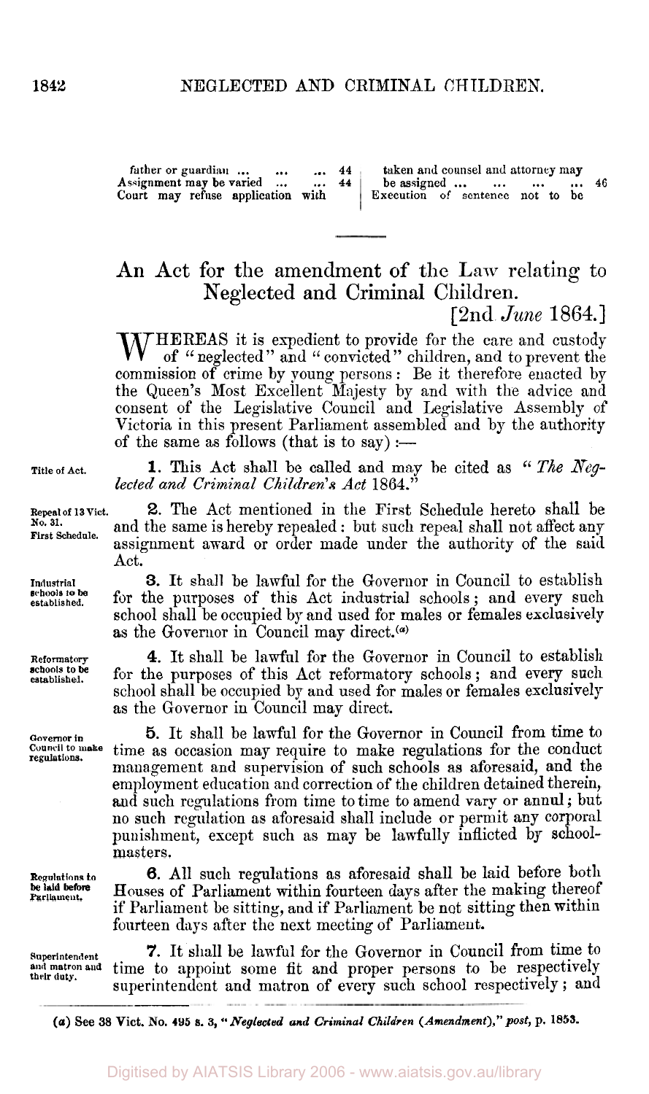**father or guardian ...** ... ... 44<br>ssignment may be varied ... ... 44 Assignment may be varied **Court may refuse application with taken and counsel** and **attorney** may **be assigned ...** ... ... ... 46<br> **Execution** of sentence not to be

An Act for the amendment of the Law relating to Neglected and Criminal Children. [ 2nd *June* 1864.]

 $\Lambda$  HEREAS it is expedient to provide for the care and custody of " neglected" and " convicted" children, and to prevent the commission of crime by young persons : Be it therefore enacted by the Queen's Most Excellent Majesty by and with the advice and consent of the Legislative Council and Legislative Assembly of Victoria in this present Parliament assembled and by the authority of the same as follows (that is to say) :—

**1.** This Act shall be called and may be cited as " *The Neg- lected and Criminal Children's Act* **1864."** 

**2.** Tne Act mentioned in the First Schedule hereto shall be and the same is hereby repealed : but such repeal shall not affect any assignment award or order made under the authority of the said Act.

**3.** It shall be lawful for the Governor in Council to establish for the purposes of this Act industrial schools; and every such school shall be occupied by and used for males or females exclusively as the Governor in Council may direct.<sup>(a)</sup>

**4.** It shall be lawful for the Governor in Council to establish for the purposes of this Act reformatory schools; and every such school shall be occupied by and used for males or females exclusively as the Governor in Council may direct.

Governor in **5.** It shall be lawful for the Governor in Council from time to Council to make time as occasion may require to make regulations for the conduct **regulations. Council to make** time **as** occasion may require to make regulations for the conduct management and supervision of such schools **as** aforesaid, and the employment education and correction of the children detained therein, and such regulations from time to time to amend vary or annul ; but no such regulation as aforesaid shall include or permit any corporal punishment, except such as may be lawfully inflicted by schoolmasters.

> **6.** All such regulations as aforesaid shall be laid before both Houses of Parliament within fourteen days after the making thereof if Parliament be sitting, and if Parliament be not sitting then within fourteen days after the next meeting of Parliament.

Superintendent **7.** It shall be lawful for the Governor in Council from time to and matron and time to appoint some fit and proper persons to be respectively and matron and time to appoint some fit and proper persons to be respectively superintendent and matron of every such school respectively ; and

*(a) See 38* **Vict. No. 495 s.** *3, "Neglected and Criminal Children (Amendment)," post,* **p. 185s.** 

**Title of Act.** 

**Repeal of 13 Vict. No. 31. First Schedule.** 

**Industrial established.**  *schools* **to be** 

**Reformatory established. schools to be** 

**Regulations to be Iaid before Parliament.**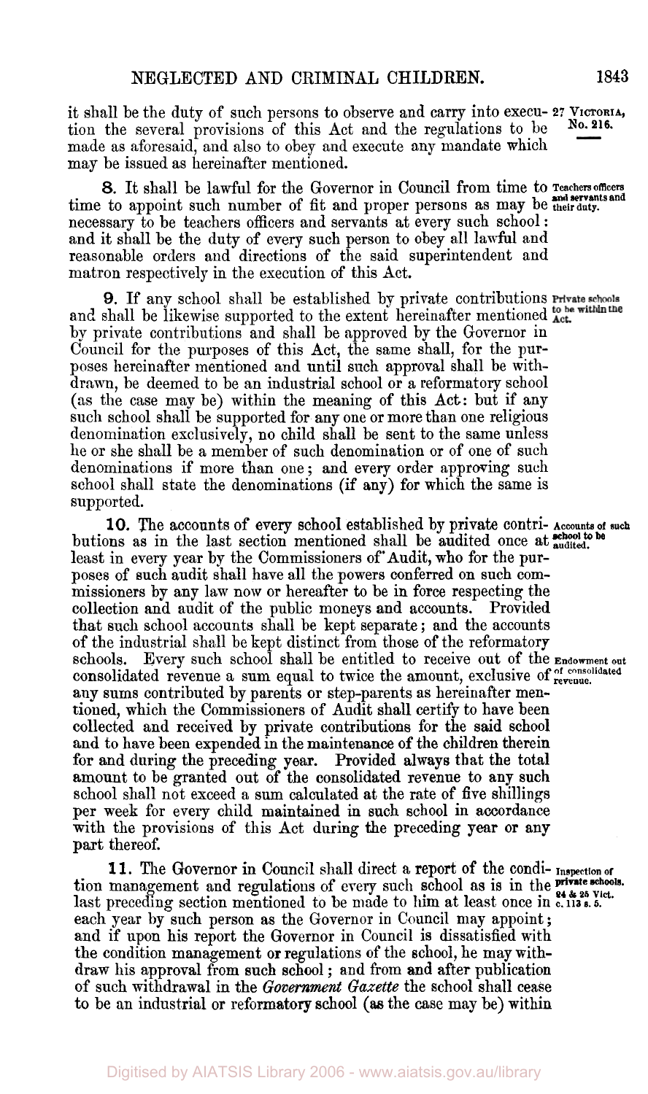it shall be the duty of such persons to observe and carry into execu- 27 VICTORIA, tion the several provisions of this Act and the regulations to be made as aforesaid, and also to obey and execute any mandate which may be issued as hereinafter mentioned. **No. 216.** 

time to appoint such number of fit and proper persons as may be **their duty.**  *8.* It shall be lawful for the Governor in Council from time to **Teachers officers and servants and**  necessary to be teachers officers and servants at every such school : and it shall be the duty of every such person to obey all lawful and reasonable orders and directions of the said superintendent and matron respectively in the execution of this Act.

**9.** If any school shall be established by private contributions Private schools and shall be likewise supported to the extent hereinafter mentioned act. by private contributions and shall be approved by the Governor in Council for the purposes of this Act, the same shall, for the purposes hereinafter mentioned and until such approval shall be withdrawn, be deemed to be an industrial school or a reformatory school **(as** the case may be) within the meaning of this Act: but if any such school shall be supported for any one or more than one religious denomination exclusively, no child shall be sent to the same unless he or she shall be a member of such denomination or of one of such denominations if more than one ; and every order approving such school shall state the denominations (if any) for which the same is supported.

**10.** The accounts of every school established by private contri- Accounts of such butions as in the last section mentioned shall be audited once at **audited**. least in every year by the Commissioners of Audit, who for the purposes of such audit shall have all the powers conferred on such commissioners by any law now or hereafter to be in force respecting the collection and audit of the public moneys and accounts. Provided that such school accounts shall be kept separate ; and the accounts of the industrial shall be kept distinct from those of the reformatory schools. Every such school shall be entitled to receive out of the **Endowment** out consolidated revenue a sum equal to twice the amount, exclusive of **of consolidated revenue**  any sums contributed by parents or step-parents **as** hereinafter mentioned, which the Commissioners of Audit shall certify to have been collected and received by private contributions for the said school **and** to have been expended in the maintenance **of** the children therein for and during the preceding year. Provided always that the total amount to be granted out of the consolidated revenue to any such school shall not exceed a sum calculated at the rate of five shillings per week for every child maintained in such school in accordance with the provisions of this Act during the preceding year or any part thereof.

**11.** The Governor in Council shall direct a report of the condi- **Inspection of**<br> **propagament** and recrulations of overy such school as is in the **Pivate schools**. last preceding section mentioned to be made to him at least once in c. 113 *s. 5.* each year by such person as the Governor in Council may appoint; and if upon his report the Governor in Council is dissatisfied with the condition management **or** regulations of the school, he may withdraw his approval from such school ; and from and after publication of such withdrawal in the *Government Gazette* the school shall cease to be an industrial **or** reformatory school (as the case may be) within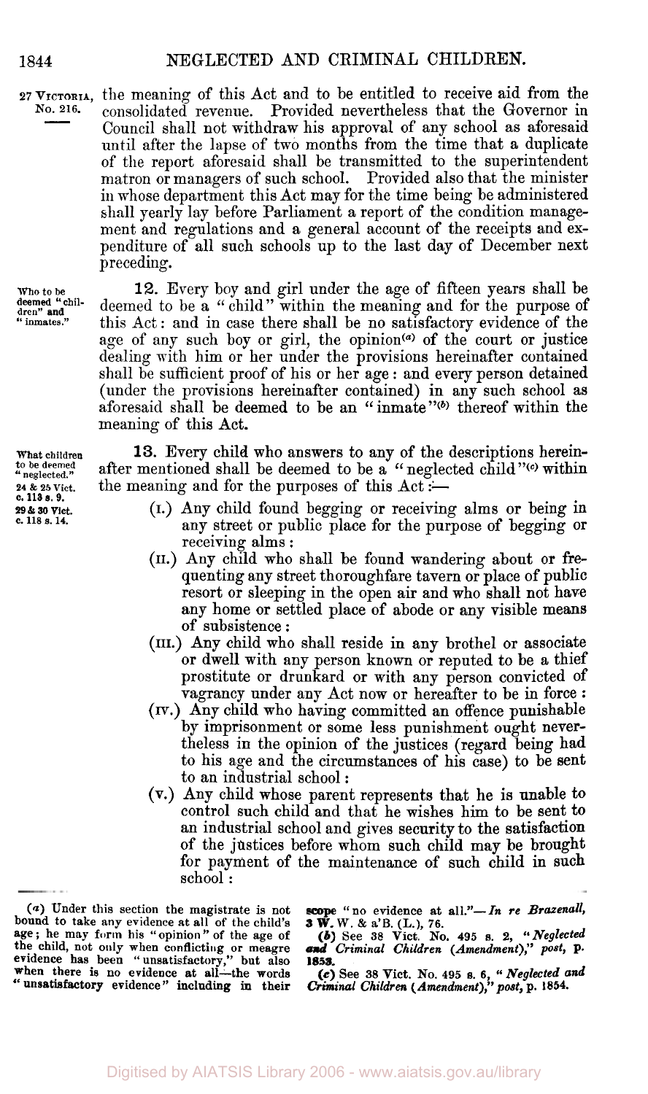<sup>27</sup> VICTORIA, the meaning of this Act and to be entitled to receive aid from the No. 216. consolidated revenue Provided nevertheless that the Governor in consolidated revenue. Provided nevertheless that the Governor in Council shall not withdraw his approval of any school as aforesaid until after the lapse of two months from the time that a duplicate of the report aforesaid shall be transmitted to the superintendent matron or managers of such school. in whose department this Act may for the time being be administered shall yearly lay before Parliament a report of the condition management and regulations and a general account of the receipts and expenditure of all such schools up to the last day of December next preceding.

**who to** be dren" **and**<br>" inmates." deemed " chil-

**What children to be deemed neglected 24** & **25 Vict. c. 113 s. 9. 29** *&* **30 Vict. c. 118 s. 14.** 

12. Every boy and girl under the age of fifteen years shall be deemed to be a " child" within the meaning and for the purpose of this Act: and in case there shall be no satisfactory evidence of the age of any such boy or girl, the opinion<sup>(a)</sup> of the court or justice dealing with him or her under the provisions hereinafter contained shall be sufficient proof of his or her age : and every person detained (under the provisions hereinafter contained) in any such school as aforesaid shall be deemed to be an "inmate"<sup>(b)</sup> thereof within the meaning of this Act.

**13.** Every child who answers to any of the descriptions hereinafter mentioned shall be deemed to be a "neglected child" $\omega$  within the meaning and for the purposes of this  $Act :=$ 

- (I.) Any child found begging or receiving alms or being in any street or public place for the purpose of begging or receiving alms :
- (II.) Any child who shall be found wandering about or frequenting any street thoroughfare tavern or place of public resort or sleeping in the open air and who shall not have any home or settled place of abode or any visible means of subsistence :
- (III.) Any child who shall reside in any brothel or associate or dwell with any person known or reputed to be a thief prostitute or drunkard or with any person convicted of vagrancy under any Act now or hereafter to be in force :
- *(IV.)* Any child who having committed an offence punishable by imprisonment or some less punishment ought nevertheless in the opinion of the justices (regard being had to his age and the circumstances of his case) to be sent to an industrial school :
- **(V.)** Any child whose parent represents that he is unable to control such child and that he wishes him to be sent **to**  an industrial school and gives security to the satisfaction of the justices before whom such child may be brought for payment of the maintenance of such child in such school :

**<sup>(</sup>a) Under this section the magistrate is not bound to take any evidence at all of the child's**  *age;* **he may form his "opinion" of the age of the child, not only when conflicting or meagre evidence has been** '' **unsatisfactory," but also 1853. when there is no evidence at all-the words** " **unsatisfactory evidence" including in their** 

scope "no evidence at all."-In re Brazenall, **3 W. W.** & **a'B. (L.), 76.**  *(b)* **See 38 Vict. No. 495** *s. 2, "Neglected* 

*and Criminal Children (Amendment)," post,* **p.** 

*<sup>(</sup>c)* **See 38 Vict. No. 495** *s. 6, "Neglected and Criminal Children (Amendment)," post."* **p. 1854.**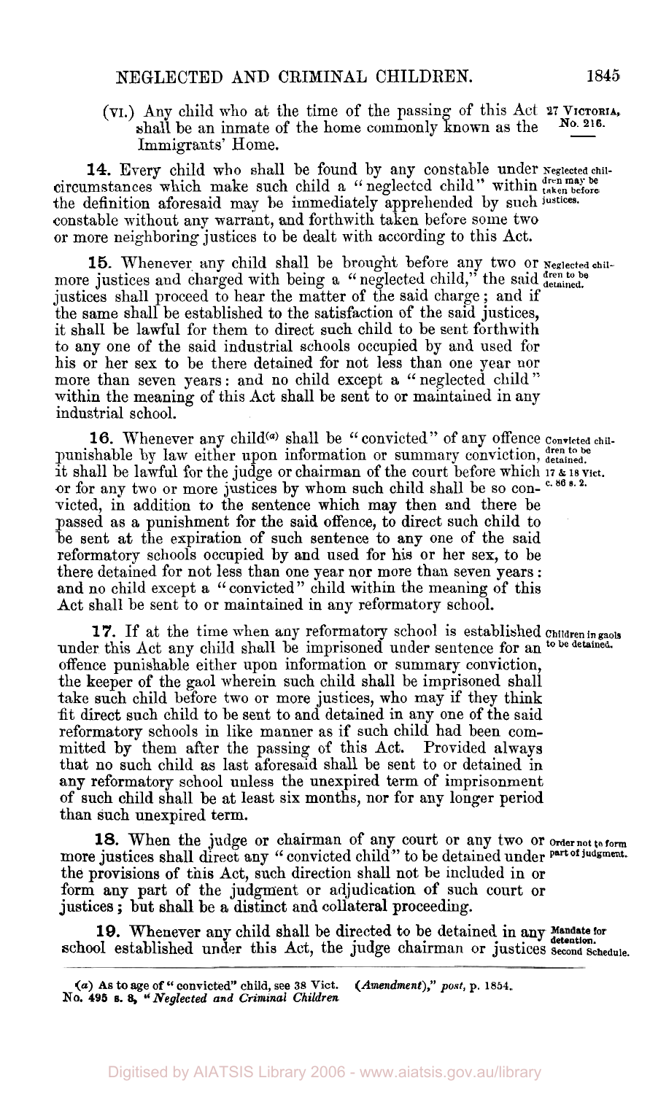(VI.) Any child who at the time of the passing of this Act 27 VICTORIA, shall be an inmate of the home commonly known as the Immigrants' Home. **No. 216.** 

**14.** Every child who shall be found by any constable under **Neglected children may be** circumstances which make such child a " neglected child" within **taken before**  the definition aforesaid may be immediately apprehended by such **justices.**  constable without any warrant, and forthwith taken before some two or more neighboring justices to be dealt with according to this Act.

15. Whenever any child shall be brought before any two or **Neglected child** more justices and charged with being a "neglected child," the said dren to be justices shall proceed to hear the matter of the said charge ; and if the same shall be established to the satisfaction of the said justices, it shall be lawful for them to direct such child to be sent forthwith to any one of the said industrial schools occupied by and used for his or her sex to be there detained for not less than one year nor more than seven years : and no child except a " neglected child'' within the meaning of this Act shall be sent to or maintained in any industrial school.

punishable by law either upon information or summary conviction, detained. it shall be lawful for the judge or chairman of the court before which **17** *&* **18 Vict.**  or for any two or more justices by whom such child shall be so con- c. 86 s. 2. victed, in addition to the sentence which may then and there be passed as a punishment for the said offence, to direct such child to be sent at the expiration of such sentence to any one of the said reformatory schools occupied by and used for his or her sex, to be there detained for not less than one year nor more than seven years : and no child except **a** " convicted" child within the meaning of this Act shall be sent to or maintained in any reformatory school. 16. Whenever any child<sup>(a)</sup> shall be "convicted" of any offence convicted chil-

under this Act any child shall be imprisoned under sentence for an **to be detained.**  offence punishable either upon information or summary conviction, the keeper of the gaol wherein such child shall be imprisoned shall take such child before two or more justices, who may if they think fit direct such child to be sent to and detained in any one of the said reformatory schools in like manner as if such child had been committed by them after the passing of this Act. Provided always that no such child as last aforesaid shall be sent to or detained in **any** reformatory school unless the unexpired term of imprisonment of such child shall be at least six months, nor for any longer period than such unexpired term. **17.** If at the time when any reformatory school is established **Children in gaols** 

**18.** When the judge or chairman of any court or any two or **Order not to form**  more justices shall direct any "convicted child" to be detained under part of judgment. the provisions of this Act, such direction shall not be included in or form any part of the judgment or adjudication of such court or justices ; but shall be a distinct and collateral proceeding.

19. Whenever any child shall be directed to be detained in any Mandate for school established under this Act, the judge chairman or justices second Schedule.

*<sup>(</sup>a)* **As to age of** '' **convicted" child, see** *38* **Vict.**  *Neglected and Criminal Children*  **No. 495 s.** *8, (Amendment)," post,* **p. 1854.**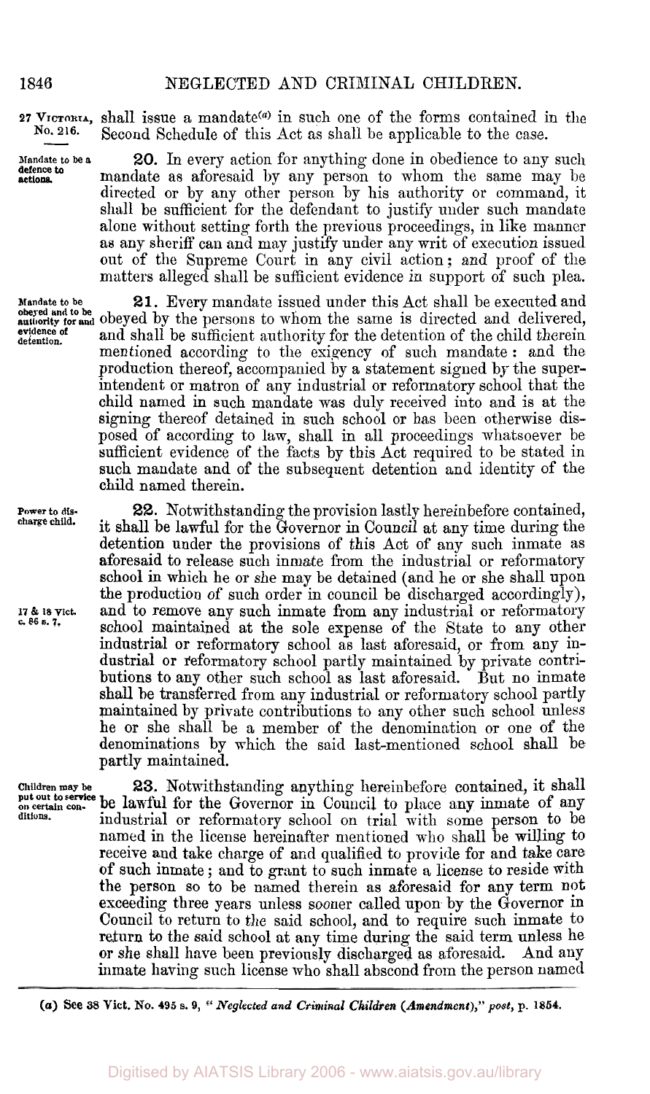### 1846 NEGLECTED **AND** CRIMINAL CHILDREN.

**27** VICTORIA, shall issue a mandate<sup>(a)</sup> in such one of the forms contained in the No. 216. See and Schedule of this Act as shall be applicable to the sees. Second Schedule of this Act as shall be applicable to the case.

**Mandate to be <sup>a</sup>20. In** every action for anything done in obedience to any such mandate as aforesaid by any person to whom the same may be directed or by any other person by his authority or command, it shall be sufficient for the defendant to justify under such mandate alone without setting forth the previous proceedings, in like manner as any sheriff can and may justify under any writ of execution issued out of the Supreme Court in any civil action; and proof of the matters alleged shall be sufficient evidence in support of such plea.

**Mandate to be 21.** Every mandate issued under this Act shall be executed and **above and to be. and** obeyed by the persons to whom the same is directed and delivered, and shall be sufficient authority for the detention of the child therein mentioned according to the exigency of such mandate : and the production thereof, accompanied by a statement signed by the superintendent or matron of any industrial or reformatory school that the child named in such mandate was duly received into and is at the signing thereof detained in such school or has been otherwise disposed of according to lam, shall in all proceedings whatsoever be sufficient evidence of the facts by this Act required to be stated in such mandate and of the subsequent detention and identity of the child named therein.

> **22.** Notwithstanding the provision lastly hereinbefore contained, it shall be lawful for the Governor in Council at any time during the detention under the provisions of this Act of any such inmate as aforesaid to release such inmate from the industrial or reformatory school in which he or she may be detained (and he or she shall upon the production of such order in council be discharged accordingly), and to remove any such inmate from any industrial or reformatory school maintained at the sole expense of the State to any other industrial or reformatory school as last aforesaid, or from any industrial or reformatory school partly maintained by private contributions to any other such school as last aforesaid. But no inmate shall be transferred from any industrial or reformatory school partly maintained by private contributions to any other such school unless he or she shall be a member of the denomination or one of the denominations by which the said last-mentioned school shall be partly maintained.

**Children may be 23.** Notwithstanding anything hereinbefore contained, it shall put out to service be lawful for the Governor in Council to place any inmate of any ditions. **industrial or reformatory school on trial with some person to be** named in the license hereinafter mentioned who shall be willing to receive and take charge of and qualified to provide for and take care of such inmate ; and to grant to such inmate a license to reside with the person so to be named therein as aforesaid for any term not exceeding three years unless sooner called upon by the Governor in Council to return to the said school, and to require such inmate to return **t0** the said school at any time during the said term unless he or she shall have been previously discharged as aforesaid. And any inmate having such license who shall abscond from the person named

*(0a)* **See 38 Vict. NO. 495 s. 9,** *Neglected and CriminaI Children (Amendment)," post,* **p. 1854.** 

**defence to actions** 

**obeyed and to be evidence of** 

**Power to discharge child.** 

**<sup>17</sup>**& **18 Vict. c** *86* **s. 7.**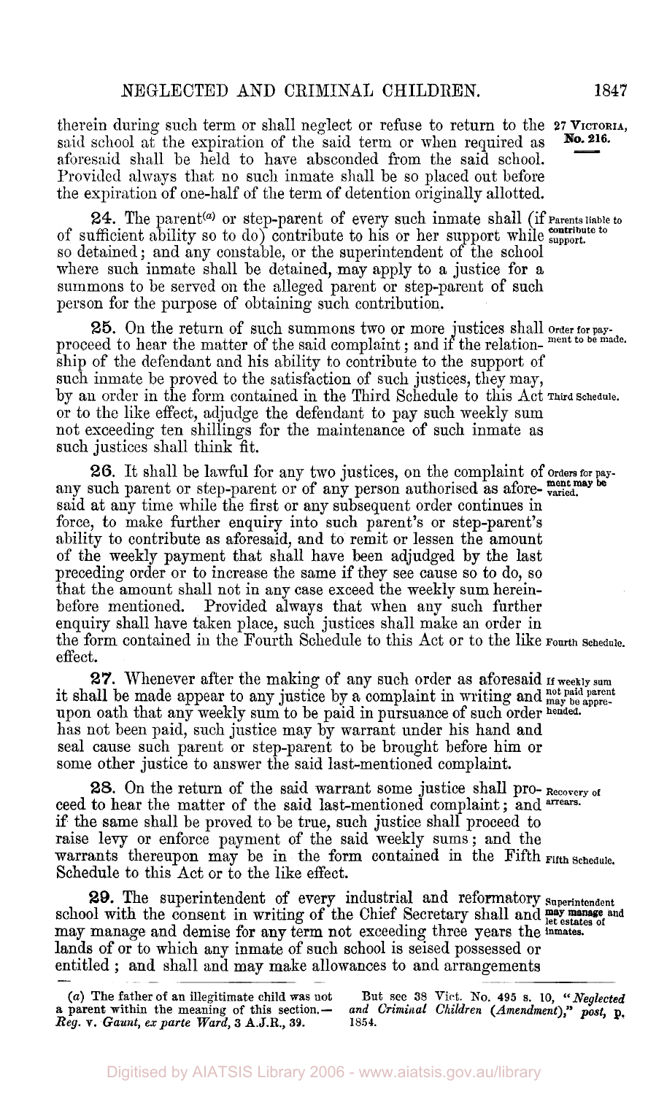therein during such term or shall neglect or refuse to return to the 27 VICTORIA, said school at the expiration of the said term or when required as aforesaid shall be held to have absconded from the said school. Provided always that no such inmate shall be so placed out before the expiration of one-half of the term of detention originally allotted. **No.** 216.

24. The parent<sup>(a)</sup> or step-parent of every such inmate shall (if Parents liable to of sufficient ability so to do) contribute to his or her support while support. so detained; and any constable, or the superintendent of the school where such inmate shall be detained, may apply to a justice for a summons to be served on the alleged parent or step-parent of such person for the purpose of obtaining such contribution.

25. On the return of such summons two or more justices shall order for pay-<br>proceed to hear the matter of the said complaint; and if the relation- ment to be made. ship of the defendant and his ability to contribute to the support of such inmate be proved to the satisfaction of such justices, they may, by an order in the form contained in the Third Schedule to this Act **Third Schedule.**  or to the like effect, adjudge the defendant to pay such weekly sum not exceeding ten shillings for the maintenance of such inmate as such justices shall think fit.

*26.* It shall be lawful for any two justices, on the complaint of **Orders** for **pay- ment may be**  any such parent or step-parent or of any person authorised as afore-  $\frac{mean \cdot m}{varied}$ . said at any time while the first or any subsequent order continues in force, to make further enquiry into such parent's or step-parent's ability to contribute as aforesaid, and to remit or lessen the amount of the meekly payment that shall have been adjudged by the last preceding order or to increase the same if they see cause so to do, so that the amount shall not in any case exceed the weekly sum hereinbefore mentioned. Provided always that when any such further enquiry shall have taken place, such justices shall make an order in the form contained in the Fourth Schedule to this Act or to the like **Fourth Schedule.**  effect.

*27.* Whenever after the making of any such order as aforesaid **If weekly sum not paid parent** it shall be made appear to any justice by a complaint in writing and may **be appre-**upon oath that any weekly sum to be paid in pursuance of such order **hended.**  has not been paid, such justice may by warrant under his hand and seal cause such parent or step-parent to be brought before him or some other justice to answer the said last-mentioned complaint.

ceed to hear the matter of the said last-mentioned complaint; and **arrears.**  if the same shall be proved to be true, such justice shall proceed to raise levy or enforce payment of the said weekly sums; and the warrants thereupon may be in the form contained in the Fifth Fifth Schedule. Schedule to this Act or to the like effect. *28.* On the return of the said warrant some justice shall pro- *Recovery of* 

29. The superintendent of every industrial and reformatory superintendent school with the consent in writing of the Chief Secretary shall and **may manage** and may manage and demise for any term not exceeding three years the **inmates.**  lands **of** or to which any inmate of such school is seised possessed or entitled ; and shall and may make allowances to and arrangements

**But see 38** Vict. No. **495** *s.* **10,** *"Neglected and Criminal Children (Amendment)," post,* **p. 1854.** 

*<sup>(</sup>a)* **The father of an illegitimate child was not a parent within the meaning** of **this section.-**  *Reg.* **V.** *Gaunt, ex parte Ward,* **3 A.J.R., 39.**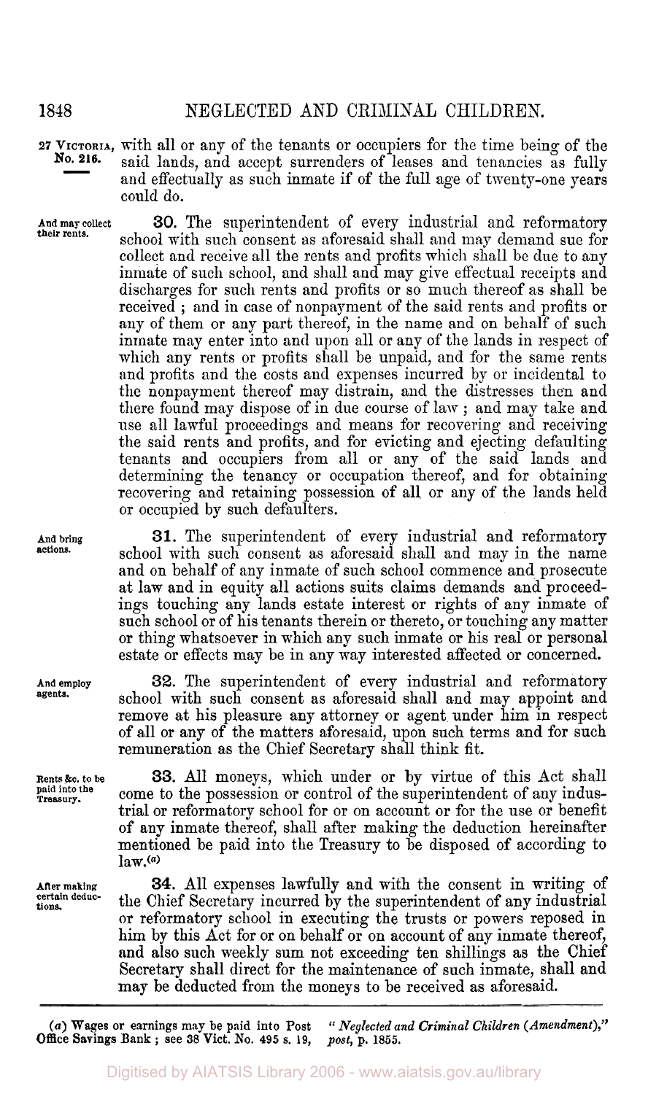## **1818** NEGLECTED AND CRIMINAL CHILDREN.

**<sup>27</sup>VICTORIA,** with all or any of the tenants or occupiers for the time being of the said lands, and accept surrenders of leases and tenancies as fully and effectually as such inmate if of the full age of twenty-one years could do. **No. 216.** 

**their rents. And may collect** 

**30.** The superintendent of every industrial and reformatory school with such consent as aforesaid shall and may demand sue for collect and receive all the rents and profits which shall be due to any inmate of such school, and shall and may give effectual receipts and discharges for such rents and profits or so much thereof as shall be received ; and in case of nonpayment of the said rents and profits or any of them or any part thereof, in the name and on behalf of such inmate may enter into and upon all or any of the lands in respect of which any rents or profits shall be unpaid, and for the same rents and profits and the costs and expenses incurred by or incidental to the nonpayment thereof may distrain, and the distresses then and there found may dispose of in due course of lam ; and may take and use all lawful proceedings and means for recovering and receiving the said rents and profits, and for evicting and ejecting defaulting tenants and occupiers from all or any of the said lands and determining the tenancy or occupation thereof, and for obtaining recovering and retaining possession of all or any of the lands held or occupied by such defaulters.

**31.** The superintendent of every industrial and reformatory school with such consent as aforesaid shall and may in the name and on behalf of any inmate of such school commence and prosecute at law and in equity all actions suits claims demands and proceedings touching any lands estate interest or rights of any inmate of such school or of his tenants therein or thereto, or touching any matter or thing whatsoever in which any such inmate or his real or personal estate or effects may be in any way interested affected or concerned.

**32.** The superintendent of every industrial and reformatory school with such consent as aforesaid shall and may appoint and remove at his pleasure any attorney or agent under him in respect of all or any of the matters aforesaid, upon such terms and for such remuneration as the Chief Secretary shall think fit.

**33.** All moneys, which under or by virtue of this Act shall come to the possession or control of the superintendent of any industrial or reformatory school for or on account or for the use or benefit of any inmate thereof, shall after making the deduction hereinafter mentioned be paid into the Treasury to be disposed of according to  $law<sub>1</sub>(a)$ 

**34.** All expenses lawfully and with the consent in writing of the Chief Secretary incurred by the superintendent of any industrial or reformatory school in executing the trusts or powers reposed in him by this Act for or on behalf or on account of any inmate thereof, and also such weekly sum not exceeding ten shillings as the Chief Secretary shall direct for the maintenance of such inmate, shall and may be deducted from the moneys to be received as aforesaid.

*(a) Wages* **or earnings may be paid into Post Office Savings Bank** ; **see 38 Vict. No. 495 s. 19,**  *" Neglected and Criminal Children (Amendment)," post,* **p. 1855.** 

**And bring actions.** 

**And employ agents.** 

**Rents &c. to be paid into the Treasury.** 

**After making certain deductions.**